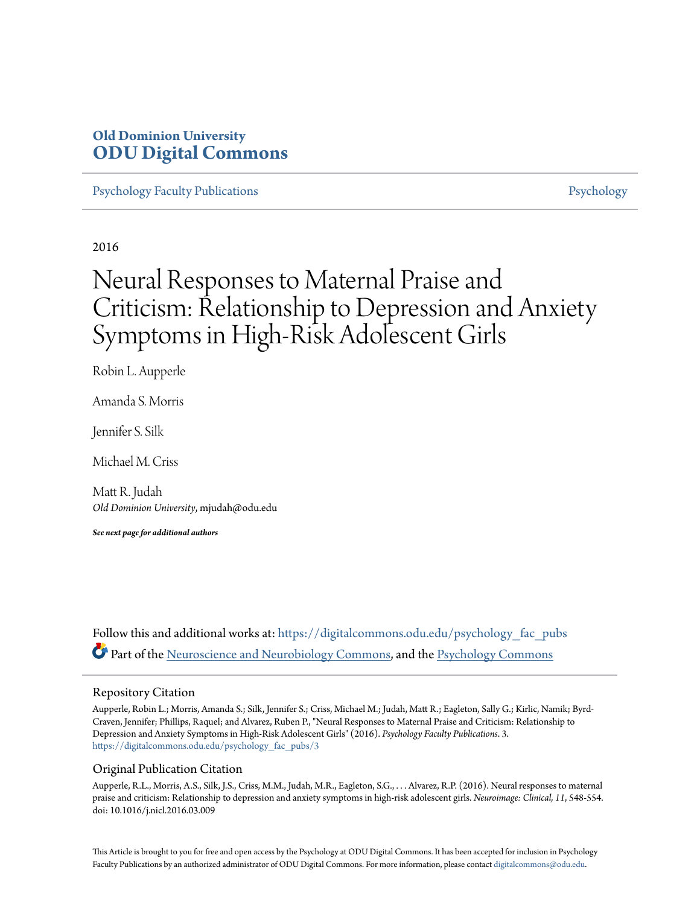## **Old Dominion University [ODU Digital Commons](https://digitalcommons.odu.edu?utm_source=digitalcommons.odu.edu%2Fpsychology_fac_pubs%2F3&utm_medium=PDF&utm_campaign=PDFCoverPages)**

[Psychology Faculty Publications](https://digitalcommons.odu.edu/psychology_fac_pubs?utm_source=digitalcommons.odu.edu%2Fpsychology_fac_pubs%2F3&utm_medium=PDF&utm_campaign=PDFCoverPages) **[Psychology](https://digitalcommons.odu.edu/psychology?utm_source=digitalcommons.odu.edu%2Fpsychology_fac_pubs%2F3&utm_medium=PDF&utm_campaign=PDFCoverPages)** Psychology

2016

# Neural Responses to Maternal Praise and Criticism: Relationship to Depression and Anxiety Symptoms in High-Risk Adolescent Girls

Robin L. Aupperle

Amanda S. Morris

Jennifer S. Silk

Michael M. Criss

Matt R. Judah *Old Dominion University*, mjudah@odu.edu

*See next page for additional authors*

Follow this and additional works at: [https://digitalcommons.odu.edu/psychology\\_fac\\_pubs](https://digitalcommons.odu.edu/psychology_fac_pubs?utm_source=digitalcommons.odu.edu%2Fpsychology_fac_pubs%2F3&utm_medium=PDF&utm_campaign=PDFCoverPages) Part of the [Neuroscience and Neurobiology Commons,](http://network.bepress.com/hgg/discipline/55?utm_source=digitalcommons.odu.edu%2Fpsychology_fac_pubs%2F3&utm_medium=PDF&utm_campaign=PDFCoverPages) and the [Psychology Commons](http://network.bepress.com/hgg/discipline/404?utm_source=digitalcommons.odu.edu%2Fpsychology_fac_pubs%2F3&utm_medium=PDF&utm_campaign=PDFCoverPages)

### Repository Citation

Aupperle, Robin L.; Morris, Amanda S.; Silk, Jennifer S.; Criss, Michael M.; Judah, Matt R.; Eagleton, Sally G.; Kirlic, Namik; Byrd-Craven, Jennifer; Phillips, Raquel; and Alvarez, Ruben P., "Neural Responses to Maternal Praise and Criticism: Relationship to Depression and Anxiety Symptoms in High-Risk Adolescent Girls" (2016). *Psychology Faculty Publications*. 3. [https://digitalcommons.odu.edu/psychology\\_fac\\_pubs/3](https://digitalcommons.odu.edu/psychology_fac_pubs/3?utm_source=digitalcommons.odu.edu%2Fpsychology_fac_pubs%2F3&utm_medium=PDF&utm_campaign=PDFCoverPages)

### Original Publication Citation

Aupperle, R.L., Morris, A.S., Silk, J.S., Criss, M.M., Judah, M.R., Eagleton, S.G., . . . Alvarez, R.P. (2016). Neural responses to maternal praise and criticism: Relationship to depression and anxiety symptoms in high-risk adolescent girls. *Neuroimage: Clinical, 11*, 548-554. doi: 10.1016/j.nicl.2016.03.009

This Article is brought to you for free and open access by the Psychology at ODU Digital Commons. It has been accepted for inclusion in Psychology Faculty Publications by an authorized administrator of ODU Digital Commons. For more information, please contact [digitalcommons@odu.edu.](mailto:digitalcommons@odu.edu)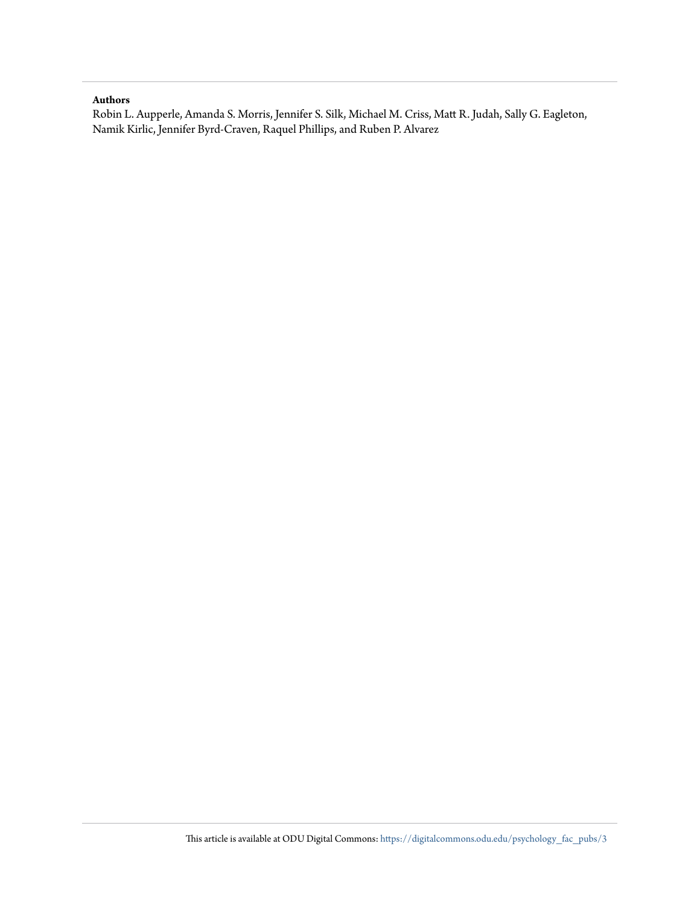## **Authors**

Robin L. Aupperle, Amanda S. Morris, Jennifer S. Silk, Michael M. Criss, Matt R. Judah, Sally G. Eagleton, Namik Kirlic, Jennifer Byrd-Craven, Raquel Phillips, and Ruben P. Alvarez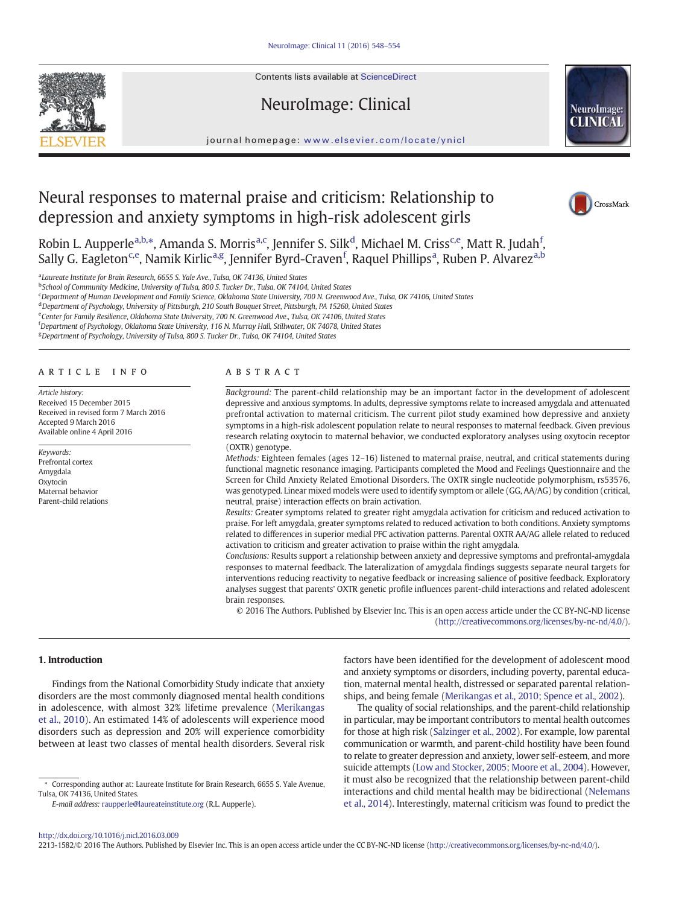Contents lists available at ScienceDirect

NeuroImage: Clinical



### journal homepage: <www.elsevier.com/locate/ynicl>

# Neural responses to maternal praise and criticism: Relationship to depression and anxiety symptoms in high-risk adolescent girls



Robin L. Aupperle<sup>a,b,\*</sup>, Amanda S. Morris<sup>a,c</sup>, Jennifer S. Silk<sup>d</sup>, Michael M. Criss<sup>c,e</sup>, Matt R. Judah<sup>f</sup>, Sally G. Eagleton<sup>c,e</sup>, Namik Kirlic<sup>a,g</sup>, Jennifer Byrd-Craven<sup>f</sup>, Raquel Phillips<sup>a</sup>, Ruben P. Alvarez<sup>a,b</sup>

<sup>a</sup> Laureate Institute for Brain Research, 6655 S. Yale Ave., Tulsa, OK 74136, United States

<sup>b</sup>School of Community Medicine, University of Tulsa, 800 S. Tucker Dr., Tulsa, OK 74104, United States

c Department of Human Development and Family Science, Oklahoma State University, 700 N. Greenwood Ave., Tulsa, OK 74106, United States

<sup>d</sup> Department of Psychology, University of Pittsburgh, 210 South Bouquet Street, Pittsburgh, PA 15260, United States

e Center for Family Resilience, Oklahoma State University, 700 N. Greenwood Ave., Tulsa, OK 74106, United States

f Department of Psychology, Oklahoma State University, 116 N. Murray Hall, Stillwater, OK 74078, United States

<sup>g</sup> Department of Psychology, University of Tulsa, 800 S. Tucker Dr., Tulsa, OK 74104, United States

#### article info abstract

Article history: Received 15 December 2015 Received in revised form 7 March 2016 Accepted 9 March 2016 Available online 4 April 2016

Keywords: Prefrontal cortex Amygdala Oxytocin Maternal behavior Parent-child relations

Background: The parent-child relationship may be an important factor in the development of adolescent depressive and anxious symptoms. In adults, depressive symptoms relate to increased amygdala and attenuated prefrontal activation to maternal criticism. The current pilot study examined how depressive and anxiety symptoms in a high-risk adolescent population relate to neural responses to maternal feedback. Given previous research relating oxytocin to maternal behavior, we conducted exploratory analyses using oxytocin receptor (OXTR) genotype.

Methods: Eighteen females (ages 12–16) listened to maternal praise, neutral, and critical statements during functional magnetic resonance imaging. Participants completed the Mood and Feelings Questionnaire and the Screen for Child Anxiety Related Emotional Disorders. The OXTR single nucleotide polymorphism, rs53576, was genotyped. Linear mixed models were used to identify symptom or allele (GG, AA/AG) by condition (critical, neutral, praise) interaction effects on brain activation.

Results: Greater symptoms related to greater right amygdala activation for criticism and reduced activation to praise. For left amygdala, greater symptoms related to reduced activation to both conditions. Anxiety symptoms related to differences in superior medial PFC activation patterns. Parental OXTR AA/AG allele related to reduced activation to criticism and greater activation to praise within the right amygdala.

Conclusions: Results support a relationship between anxiety and depressive symptoms and prefrontal-amygdala responses to maternal feedback. The lateralization of amygdala findings suggests separate neural targets for interventions reducing reactivity to negative feedback or increasing salience of positive feedback. Exploratory analyses suggest that parents' OXTR genetic profile influences parent-child interactions and related adolescent brain responses.

© 2016 The Authors. Published by Elsevier Inc. This is an open access article under the CC BY-NC-ND license (<http://creativecommons.org/licenses/by-nc-nd/4.0/>).

#### 1. Introduction

Findings from the National Comorbidity Study indicate that anxiety disorders are the most commonly diagnosed mental health conditions in adolescence, with almost 32% lifetime prevalence [\(Merikangas](#page-8-0) [et al., 2010](#page-8-0)). An estimated 14% of adolescents will experience mood disorders such as depression and 20% will experience comorbidity between at least two classes of mental health disorders. Several risk factors have been identified for the development of adolescent mood and anxiety symptoms or disorders, including poverty, parental education, maternal mental health, distressed or separated parental relationships, and being female ([Merikangas et al., 2010; Spence et al., 2002](#page-8-0)).

The quality of social relationships, and the parent-child relationship in particular, may be important contributors to mental health outcomes for those at high risk [\(Salzinger et al., 2002](#page-8-0)). For example, low parental communication or warmth, and parent-child hostility have been found to relate to greater depression and anxiety, lower self-esteem, and more suicide attempts [\(Low and Stocker, 2005; Moore et al., 2004\)](#page-8-0). However, it must also be recognized that the relationship between parent-child interactions and child mental health may be bidirectional ([Nelemans](#page-8-0) [et al., 2014\)](#page-8-0). Interestingly, maternal criticism was found to predict the

2213-1582/© 2016 The Authors. Published by Elsevier Inc. This is an open access article under the CC BY-NC-ND license [\(http://creativecommons.org/licenses/by-nc-nd/4.0/\)](http://creativecommons.org/licenses/by-nc-nd/4.0/).

<sup>⁎</sup> Corresponding author at: Laureate Institute for Brain Research, 6655 S. Yale Avenue, Tulsa, OK 74136, United States.

E-mail address: [raupperle@laureateinstitute.org](mailto:raupperle@laureateinstitute.org) (R.L. Aupperle).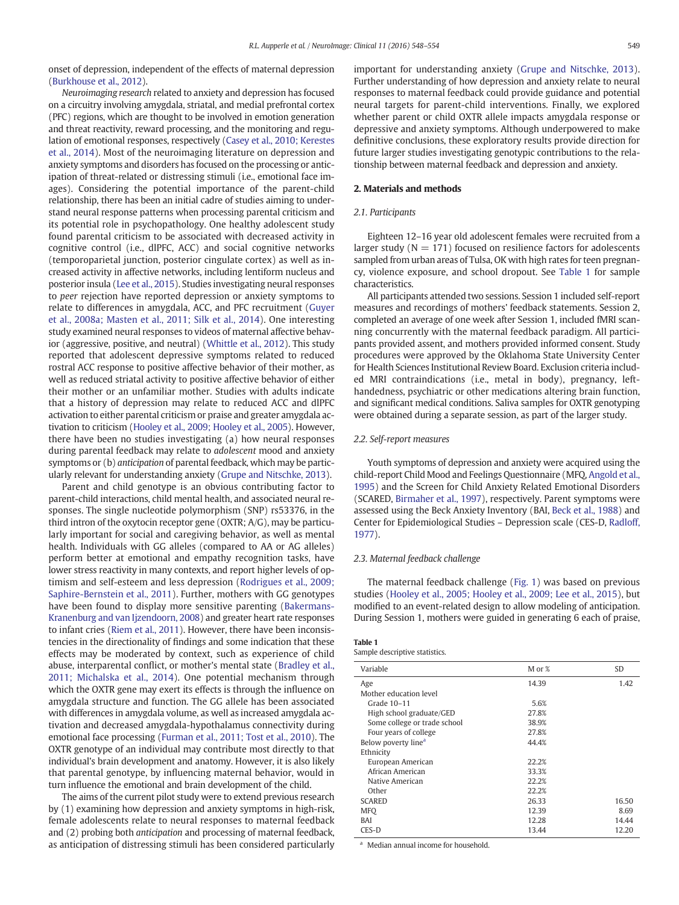onset of depression, independent of the effects of maternal depression [\(Burkhouse et al., 2012](#page-8-0)).

Neuroimaging research related to anxiety and depression has focused on a circuitry involving amygdala, striatal, and medial prefrontal cortex (PFC) regions, which are thought to be involved in emotion generation and threat reactivity, reward processing, and the monitoring and regulation of emotional responses, respectively [\(Casey et al., 2010; Kerestes](#page-8-0) [et al., 2014](#page-8-0)). Most of the neuroimaging literature on depression and anxiety symptoms and disorders has focused on the processing or anticipation of threat-related or distressing stimuli (i.e., emotional face images). Considering the potential importance of the parent-child relationship, there has been an initial cadre of studies aiming to understand neural response patterns when processing parental criticism and its potential role in psychopathology. One healthy adolescent study found parental criticism to be associated with decreased activity in cognitive control (i.e., dlPFC, ACC) and social cognitive networks (temporoparietal junction, posterior cingulate cortex) as well as increased activity in affective networks, including lentiform nucleus and posterior insula [\(Lee et al., 2015](#page-8-0)). Studies investigating neural responses to peer rejection have reported depression or anxiety symptoms to relate to differences in amygdala, ACC, and PFC recruitment [\(Guyer](#page-8-0) [et al., 2008a; Masten et al., 2011; Silk et al., 2014\)](#page-8-0). One interesting study examined neural responses to videos of maternal affective behavior (aggressive, positive, and neutral) [\(Whittle et al., 2012\)](#page-8-0). This study reported that adolescent depressive symptoms related to reduced rostral ACC response to positive affective behavior of their mother, as well as reduced striatal activity to positive affective behavior of either their mother or an unfamiliar mother. Studies with adults indicate that a history of depression may relate to reduced ACC and dlPFC activation to either parental criticism or praise and greater amygdala activation to criticism [\(Hooley et al., 2009; Hooley et al., 2005](#page-8-0)). However, there have been no studies investigating (a) how neural responses during parental feedback may relate to adolescent mood and anxiety symptoms or (b) anticipation of parental feedback, which may be particularly relevant for understanding anxiety [\(Grupe and Nitschke, 2013\)](#page-8-0).

Parent and child genotype is an obvious contributing factor to parent-child interactions, child mental health, and associated neural responses. The single nucleotide polymorphism (SNP) rs53376, in the third intron of the oxytocin receptor gene (OXTR; A/G), may be particularly important for social and caregiving behavior, as well as mental health. Individuals with GG alleles (compared to AA or AG alleles) perform better at emotional and empathy recognition tasks, have lower stress reactivity in many contexts, and report higher levels of optimism and self-esteem and less depression ([Rodrigues et al., 2009;](#page-8-0) [Saphire-Bernstein et al., 2011](#page-8-0)). Further, mothers with GG genotypes have been found to display more sensitive parenting ([Bakermans-](#page-8-0)[Kranenburg and van Ijzendoorn, 2008](#page-8-0)) and greater heart rate responses to infant cries ([Riem et al., 2011](#page-8-0)). However, there have been inconsistencies in the directionality of findings and some indication that these effects may be moderated by context, such as experience of child abuse, interparental conflict, or mother's mental state [\(Bradley et al.,](#page-8-0) [2011; Michalska et al., 2014](#page-8-0)). One potential mechanism through which the OXTR gene may exert its effects is through the influence on amygdala structure and function. The GG allele has been associated with differences in amygdala volume, as well as increased amygdala activation and decreased amygdala-hypothalamus connectivity during emotional face processing ([Furman et al., 2011; Tost et al., 2010\)](#page-8-0). The OXTR genotype of an individual may contribute most directly to that individual's brain development and anatomy. However, it is also likely that parental genotype, by influencing maternal behavior, would in turn influence the emotional and brain development of the child.

The aims of the current pilot study were to extend previous research by (1) examining how depression and anxiety symptoms in high-risk, female adolescents relate to neural responses to maternal feedback and (2) probing both anticipation and processing of maternal feedback, as anticipation of distressing stimuli has been considered particularly important for understanding anxiety ([Grupe and Nitschke, 2013](#page-8-0)). Further understanding of how depression and anxiety relate to neural responses to maternal feedback could provide guidance and potential neural targets for parent-child interventions. Finally, we explored whether parent or child OXTR allele impacts amygdala response or depressive and anxiety symptoms. Although underpowered to make definitive conclusions, these exploratory results provide direction for future larger studies investigating genotypic contributions to the relationship between maternal feedback and depression and anxiety.

#### 2. Materials and methods

#### 2.1. Participants

Eighteen 12–16 year old adolescent females were recruited from a larger study ( $N = 171$ ) focused on resilience factors for adolescents sampled from urban areas of Tulsa, OK with high rates for teen pregnancy, violence exposure, and school dropout. See Table 1 for sample characteristics.

All participants attended two sessions. Session 1 included self-report measures and recordings of mothers' feedback statements. Session 2, completed an average of one week after Session 1, included fMRI scanning concurrently with the maternal feedback paradigm. All participants provided assent, and mothers provided informed consent. Study procedures were approved by the Oklahoma State University Center for Health Sciences Institutional Review Board. Exclusion criteria included MRI contraindications (i.e., metal in body), pregnancy, lefthandedness, psychiatric or other medications altering brain function, and significant medical conditions. Saliva samples for OXTR genotyping were obtained during a separate session, as part of the larger study.

#### 2.2. Self-report measures

Youth symptoms of depression and anxiety were acquired using the child-report Child Mood and Feelings Questionnaire (MFQ, [Angold et al.,](#page-8-0) [1995\)](#page-8-0) and the Screen for Child Anxiety Related Emotional Disorders (SCARED, [Birmaher et al., 1997](#page-8-0)), respectively. Parent symptoms were assessed using the Beck Anxiety Inventory (BAI, [Beck et al., 1988](#page-8-0)) and Center for Epidemiological Studies – Depression scale (CES-D, [Radloff,](#page-8-0) [1977](#page-8-0)).

#### 2.3. Maternal feedback challenge

The maternal feedback challenge ([Fig. 1\)](#page-4-0) was based on previous studies [\(Hooley et al., 2005; Hooley et al., 2009; Lee et al., 2015\)](#page-8-0), but modified to an event-related design to allow modeling of anticipation. During Session 1, mothers were guided in generating 6 each of praise,

|--|--|

| Sample descriptive statistics. |  |  |  |  |  |
|--------------------------------|--|--|--|--|--|
|--------------------------------|--|--|--|--|--|

| Variable                        | M or % | <b>SD</b> |
|---------------------------------|--------|-----------|
| Age                             | 14.39  | 1.42      |
| Mother education level          |        |           |
| Grade 10-11                     | 5.6%   |           |
| High school graduate/GED        | 27.8%  |           |
| Some college or trade school    | 38.9%  |           |
| Four years of college           | 27.8%  |           |
| Below poverty line <sup>a</sup> | 44.4%  |           |
| Ethnicity                       |        |           |
| European American               | 22.2%  |           |
| African American                | 33.3%  |           |
| Native American                 | 22.2%  |           |
| Other                           | 22.2%  |           |
| <b>SCARED</b>                   | 26.33  | 16.50     |
| <b>MFO</b>                      | 12.39  | 8.69      |
| BAI                             | 12.28  | 14.44     |
| CES-D                           | 13.44  | 12.20     |

<sup>a</sup> Median annual income for household.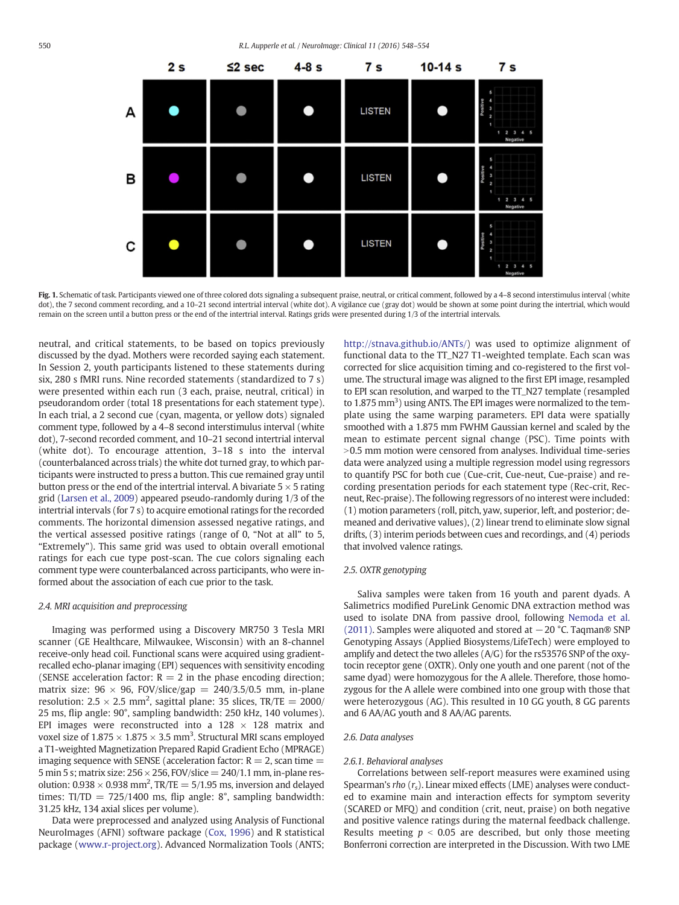<span id="page-4-0"></span>

Fig. 1. Schematic of task. Participants viewed one of three colored dots signaling a subsequent praise, neutral, or critical comment, followed by a 4-8 second interstimulus interval (white dot), the 7 second comment recording, and a 10-21 second intertrial interval (white dot). A vigilance cue (gray dot) would be shown at some point during the intertrial, which would remain on the screen until a button press or the end of the intertrial interval. Ratings grids were presented during 1/3 of the intertrial intervals.

neutral, and critical statements, to be based on topics previously discussed by the dyad. Mothers were recorded saying each statement. In Session 2, youth participants listened to these statements during six, 280 s fMRI runs. Nine recorded statements (standardized to 7 s) were presented within each run (3 each, praise, neutral, critical) in pseudorandom order (total 18 presentations for each statement type). In each trial, a 2 second cue (cyan, magenta, or yellow dots) signaled comment type, followed by a 4–8 second interstimulus interval (white dot), 7-second recorded comment, and 10–21 second intertrial interval (white dot). To encourage attention, 3–18 s into the interval (counterbalanced across trials) the white dot turned gray, to which participants were instructed to press a button. This cue remained gray until button press or the end of the intertrial interval. A bivariate  $5 \times 5$  rating grid ([Larsen et al., 2009\)](#page-8-0) appeared pseudo-randomly during 1/3 of the intertrial intervals (for 7 s) to acquire emotional ratings for the recorded comments. The horizontal dimension assessed negative ratings, and the vertical assessed positive ratings (range of 0, "Not at all" to 5, "Extremely"). This same grid was used to obtain overall emotional ratings for each cue type post-scan. The cue colors signaling each comment type were counterbalanced across participants, who were informed about the association of each cue prior to the task.

#### 2.4. MRI acquisition and preprocessing

Imaging was performed using a Discovery MR750 3 Tesla MRI scanner (GE Healthcare, Milwaukee, Wisconsin) with an 8-channel receive-only head coil. Functional scans were acquired using gradientrecalled echo-planar imaging (EPI) sequences with sensitivity encoding (SENSE acceleration factor:  $R = 2$  in the phase encoding direction; matrix size:  $96 \times 96$ , FOV/slice/gap = 240/3.5/0.5 mm, in-plane resolution:  $2.5 \times 2.5$  mm<sup>2</sup>, sagittal plane: 35 slices, TR/TE = 2000/ 25 ms, flip angle: 90°, sampling bandwidth: 250 kHz, 140 volumes). EPI images were reconstructed into a  $128 \times 128$  matrix and voxel size of  $1.875 \times 1.875 \times 3.5$  mm<sup>3</sup>. Structural MRI scans employed a T1-weighted Magnetization Prepared Rapid Gradient Echo (MPRAGE) imaging sequence with SENSE (acceleration factor:  $R = 2$ , scan time  $=$ 5 min 5 s; matrix size:  $256 \times 256$ , FOV/slice =  $240/1.1$  mm, in-plane resolution:  $0.938 \times 0.938$  mm<sup>2</sup>, TR/TE = 5/1.95 ms, inversion and delayed times:  $TI/TD = 725/1400$  ms, flip angle: 8°, sampling bandwidth: 31.25 kHz, 134 axial slices per volume).

Data were preprocessed and analyzed using Analysis of Functional NeuroImages (AFNI) software package ([Cox, 1996\)](#page-8-0) and R statistical package [\(www.r-project.org](http://www.r-project.org)). Advanced Normalization Tools (ANTS; [http://stnava.github.io/ANTs/\)](http://stnava.github.io/ANTs/) was used to optimize alignment of functional data to the TT\_N27 T1-weighted template. Each scan was corrected for slice acquisition timing and co-registered to the first volume. The structural image was aligned to the first EPI image, resampled to EPI scan resolution, and warped to the TT\_N27 template (resampled to 1.875 mm<sup>3</sup>) using ANTS. The EPI images were normalized to the template using the same warping parameters. EPI data were spatially smoothed with a 1.875 mm FWHM Gaussian kernel and scaled by the mean to estimate percent signal change (PSC). Time points with  $>$ 0.5 mm motion were censored from analyses. Individual time-series data were analyzed using a multiple regression model using regressors to quantify PSC for both cue (Cue-crit, Cue-neut, Cue-praise) and recording presentation periods for each statement type (Rec-crit, Recneut, Rec-praise). The following regressors of no interest were included: (1) motion parameters (roll, pitch, yaw, superior, left, and posterior; demeaned and derivative values), (2) linear trend to eliminate slow signal drifts, (3) interim periods between cues and recordings, and (4) periods that involved valence ratings.

#### 2.5. OXTR genotyping

Saliva samples were taken from 16 youth and parent dyads. A Salimetrics modified PureLink Genomic DNA extraction method was used to isolate DNA from passive drool, following [Nemoda et al.](#page-8-0) [\(2011\).](#page-8-0) Samples were aliquoted and stored at −20 °C. Taqman® SNP Genotyping Assays (Applied Biosystems/LifeTech) were employed to amplify and detect the two alleles (A/G) for the rs53576 SNP of the oxytocin receptor gene (OXTR). Only one youth and one parent (not of the same dyad) were homozygous for the A allele. Therefore, those homozygous for the A allele were combined into one group with those that were heterozygous (AG). This resulted in 10 GG youth, 8 GG parents and 6 AA/AG youth and 8 AA/AG parents.

#### 2.6. Data analyses

#### 2.6.1. Behavioral analyses

Correlations between self-report measures were examined using Spearman's rho  $(r_s)$ . Linear mixed effects (LME) analyses were conducted to examine main and interaction effects for symptom severity (SCARED or MFQ) and condition (crit, neut, praise) on both negative and positive valence ratings during the maternal feedback challenge. Results meeting  $p < 0.05$  are described, but only those meeting Bonferroni correction are interpreted in the Discussion. With two LME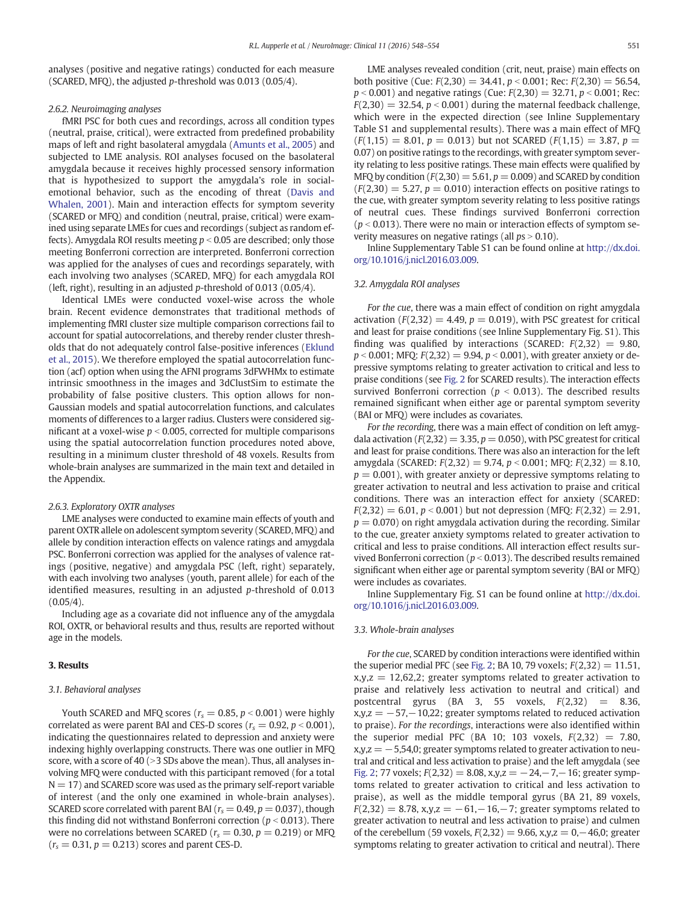analyses (positive and negative ratings) conducted for each measure (SCARED, MFQ), the adjusted p-threshold was 0.013 (0.05/4).

#### 2.6.2. Neuroimaging analyses

fMRI PSC for both cues and recordings, across all condition types (neutral, praise, critical), were extracted from predefined probability maps of left and right basolateral amygdala ([Amunts et al., 2005](#page-8-0)) and subjected to LME analysis. ROI analyses focused on the basolateral amygdala because it receives highly processed sensory information that is hypothesized to support the amygdala's role in socialemotional behavior, such as the encoding of threat [\(Davis and](#page-8-0) [Whalen, 2001\)](#page-8-0). Main and interaction effects for symptom severity (SCARED or MFQ) and condition (neutral, praise, critical) were examined using separate LMEs for cues and recordings (subject as random effects). Amygdala ROI results meeting  $p < 0.05$  are described; only those meeting Bonferroni correction are interpreted. Bonferroni correction was applied for the analyses of cues and recordings separately, with each involving two analyses (SCARED, MFQ) for each amygdala ROI (left, right), resulting in an adjusted p-threshold of 0.013 (0.05/4).

Identical LMEs were conducted voxel-wise across the whole brain. Recent evidence demonstrates that traditional methods of implementing fMRI cluster size multiple comparison corrections fail to account for spatial autocorrelations, and thereby render cluster thresholds that do not adequately control false-positive inferences ([Eklund](#page-8-0) [et al., 2015\)](#page-8-0). We therefore employed the spatial autocorrelation function (acf) option when using the AFNI programs 3dFWHMx to estimate intrinsic smoothness in the images and 3dClustSim to estimate the probability of false positive clusters. This option allows for non-Gaussian models and spatial autocorrelation functions, and calculates moments of differences to a larger radius. Clusters were considered significant at a voxel-wise  $p < 0.005$ , corrected for multiple comparisons using the spatial autocorrelation function procedures noted above, resulting in a minimum cluster threshold of 48 voxels. Results from whole-brain analyses are summarized in the main text and detailed in the Appendix.

#### 2.6.3. Exploratory OXTR analyses

LME analyses were conducted to examine main effects of youth and parent OXTR allele on adolescent symptom severity (SCARED, MFQ) and allele by condition interaction effects on valence ratings and amygdala PSC. Bonferroni correction was applied for the analyses of valence ratings (positive, negative) and amygdala PSC (left, right) separately, with each involving two analyses (youth, parent allele) for each of the identified measures, resulting in an adjusted p-threshold of 0.013  $(0.05/4)$ .

Including age as a covariate did not influence any of the amygdala ROI, OXTR, or behavioral results and thus, results are reported without age in the models.

#### 3. Results

#### 3.1. Behavioral analyses

Youth SCARED and MFQ scores ( $r_s = 0.85$ ,  $p < 0.001$ ) were highly correlated as were parent BAI and CES-D scores ( $r_s = 0.92$ ,  $p < 0.001$ ), indicating the questionnaires related to depression and anxiety were indexing highly overlapping constructs. There was one outlier in MFQ score, with a score of 40 (> 3 SDs above the mean). Thus, all analyses involving MFQ were conducted with this participant removed (for a total  $N = 17$ ) and SCARED score was used as the primary self-report variable of interest (and the only one examined in whole-brain analyses). SCARED score correlated with parent BAI ( $r_s = 0.49$ ,  $p = 0.037$ ), though this finding did not withstand Bonferroni correction ( $p < 0.013$ ). There were no correlations between SCARED ( $r_s = 0.30$ ,  $p = 0.219$ ) or MFQ  $(r_s = 0.31, p = 0.213)$  scores and parent CES-D.

LME analyses revealed condition (crit, neut, praise) main effects on both positive (Cue:  $F(2,30) = 34.41$ ,  $p < 0.001$ ; Rec:  $F(2,30) = 56.54$ ,  $p < 0.001$ ) and negative ratings (Cue:  $F(2,30) = 32.71$ ,  $p < 0.001$ ; Rec:

 $F(2,30) = 32.54$ ,  $p < 0.001$ ) during the maternal feedback challenge, which were in the expected direction (see Inline Supplementary Table S1 and supplemental results). There was a main effect of MFQ  $(F(1,15) = 8.01, p = 0.013)$  but not SCARED  $(F(1,15) = 3.87, p =$ 0.07) on positive ratings to the recordings, with greater symptom severity relating to less positive ratings. These main effects were qualified by MFQ by condition  $(F(2,30) = 5.61, p = 0.009)$  and SCARED by condition  $(F(2,30) = 5.27, p = 0.010)$  interaction effects on positive ratings to the cue, with greater symptom severity relating to less positive ratings of neutral cues. These findings survived Bonferroni correction ( $p < 0.013$ ). There were no main or interaction effects of symptom severity measures on negative ratings (all  $ps > 0.10$ ).

Inline Supplementary Table S1 can be found online at [http://dx.doi.](doi:10.1016/j.nicl.2016.03.009) [org/10.1016/j.nicl.2016.03.009](doi:10.1016/j.nicl.2016.03.009).

#### 3.2. Amygdala ROI analyses

For the cue, there was a main effect of condition on right amygdala activation  $(F(2,32) = 4.49, p = 0.019)$ , with PSC greatest for critical and least for praise conditions (see Inline Supplementary Fig. S1). This finding was qualified by interactions (SCARED:  $F(2,32) = 9.80$ ,  $p < 0.001$ ; MFQ:  $F(2,32) = 9.94$ ,  $p < 0.001$ ), with greater anxiety or depressive symptoms relating to greater activation to critical and less to praise conditions (see [Fig. 2](#page-6-0) for SCARED results). The interaction effects survived Bonferroni correction ( $p < 0.013$ ). The described results remained significant when either age or parental symptom severity (BAI or MFQ) were includes as covariates.

For the recording, there was a main effect of condition on left amygdala activation ( $F(2,32) = 3.35$ ,  $p = 0.050$ ), with PSC greatest for critical and least for praise conditions. There was also an interaction for the left amygdala (SCARED:  $F(2,32) = 9.74$ ,  $p < 0.001$ ; MFQ:  $F(2,32) = 8.10$ ,  $p = 0.001$ ), with greater anxiety or depressive symptoms relating to greater activation to neutral and less activation to praise and critical conditions. There was an interaction effect for anxiety (SCARED:  $F(2,32) = 6.01, p < 0.001$  but not depression (MFQ:  $F(2,32) = 2.91$ ,  $p = 0.070$ ) on right amygdala activation during the recording. Similar to the cue, greater anxiety symptoms related to greater activation to critical and less to praise conditions. All interaction effect results survived Bonferroni correction ( $p < 0.013$ ). The described results remained significant when either age or parental symptom severity (BAI or MFQ) were includes as covariates.

Inline Supplementary Fig. S1 can be found online at [http://dx.doi.](doi:10.1016/j.nicl.2016.03.009) [org/10.1016/j.nicl.2016.03.009](doi:10.1016/j.nicl.2016.03.009).

#### 3.3. Whole-brain analyses

For the cue, SCARED by condition interactions were identified within the superior medial PFC (see [Fig. 2;](#page-6-0) BA 10, 79 voxels;  $F(2,32) = 11.51$ ,  $x,y,z = 12,62,2$ ; greater symptoms related to greater activation to praise and relatively less activation to neutral and critical) and postcentral gyrus (BA 3, 55 voxels,  $F(2,32) = 8.36$ ,  $x,y,z = -57,-10,22$ ; greater symptoms related to reduced activation to praise). For the recordings, interactions were also identified within the superior medial PFC (BA 10; 103 voxels,  $F(2,32) = 7.80$ ,  $x,y,z = -5,54,0;$  greater symptoms related to greater activation to neutral and critical and less activation to praise) and the left amygdala (see [Fig. 2](#page-6-0); 77 voxels; F(2,32) = 8.08, x,y,z = −24,−7,−16; greater symptoms related to greater activation to critical and less activation to praise), as well as the middle temporal gyrus (BA 21, 89 voxels,  $F(2,32) = 8.78$ , x,y,z = -61,-16,-7; greater symptoms related to greater activation to neutral and less activation to praise) and culmen of the cerebellum (59 voxels,  $F(2,32) = 9.66$ , x,y,z = 0,−46,0; greater symptoms relating to greater activation to critical and neutral). There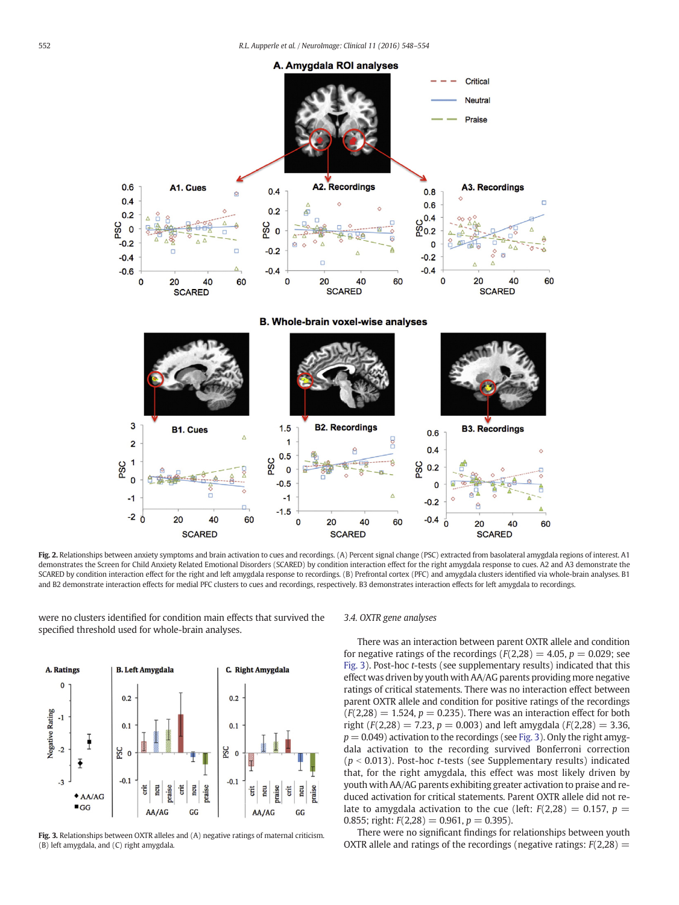<span id="page-6-0"></span>

Fig. 2. Relationships between anxiety symptoms and brain activation to cues and recordings. (A) Percent signal change (PSC) extracted from basolateral amygdala regions of interest. A1 demonstrates the Screen for Child Anxiety Related Emotional Disorders (SCARED) by condition interaction effect for the right amygdala response to cues. A2 and A3 demonstrate the SCARED by condition interaction effect for the right and left amygdala response to recordings. (B) Prefrontal cortex (PFC) and amygdala clusters identified via whole-brain analyses. B1 and B2 demonstrate interaction effects for medial PFC clusters to cues and recordings, respectively. B3 demonstrates interaction effects for left amygdala to recordings.

were no clusters identified for condition main effects that survived the specified threshold used for whole-brain analyses.



Fig. 3. Relationships between OXTR alleles and (A) negative ratings of maternal criticism. (B) left amygdala, and (C) right amygdala.

#### 3.4. OXTR gene analyses

There was an interaction between parent OXTR allele and condition for negative ratings of the recordings ( $F(2,28) = 4.05$ ,  $p = 0.029$ ; see Fig. 3). Post-hoc t-tests (see supplementary results) indicated that this effect was driven by youth with AA/AG parents providing more negative ratings of critical statements. There was no interaction effect between parent OXTR allele and condition for positive ratings of the recordings  $(F(2,28) = 1.524, p = 0.235)$ . There was an interaction effect for both right ( $F(2,28) = 7.23$ ,  $p = 0.003$ ) and left amygdala ( $F(2,28) = 3.36$ ,  $p = 0.049$ ) activation to the recordings (see Fig. 3). Only the right amygdala activation to the recording survived Bonferroni correction ( $p < 0.013$ ). Post-hoc t-tests (see Supplementary results) indicated that, for the right amygdala, this effect was most likely driven by youth with AA/AG parents exhibiting greater activation to praise and reduced activation for critical statements. Parent OXTR allele did not relate to amygdala activation to the cue (left:  $F(2,28) = 0.157$ ,  $p =$ 0.855; right:  $F(2,28) = 0.961$ ,  $p = 0.395$ ).

There were no significant findings for relationships between youth OXTR allele and ratings of the recordings (negative ratings:  $F(2,28) =$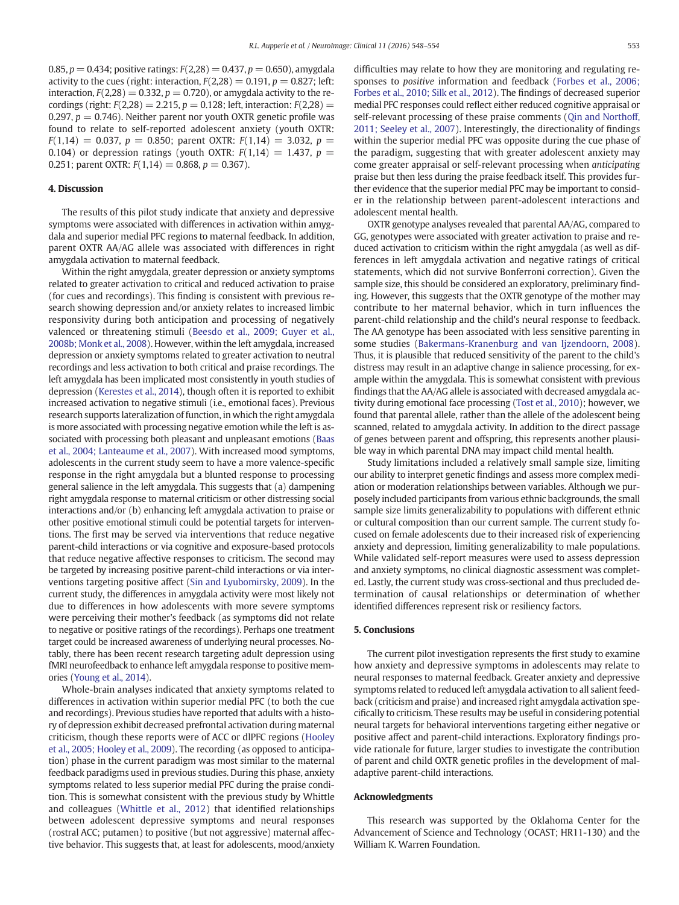0.85,  $p = 0.434$ ; positive ratings:  $F(2,28) = 0.437$ ,  $p = 0.650$ ), amygdala activity to the cues (right: interaction,  $F(2,28) = 0.191$ ,  $p = 0.827$ ; left: interaction,  $F(2,28) = 0.332$ ,  $p = 0.720$ ), or amygdala activity to the recordings (right:  $F(2,28) = 2.215$ ,  $p = 0.128$ ; left, interaction:  $F(2,28) =$ 0.297,  $p = 0.746$ ). Neither parent nor youth OXTR genetic profile was found to relate to self-reported adolescent anxiety (youth OXTR:  $F(1,14) = 0.037$ ,  $p = 0.850$ ; parent OXTR:  $F(1,14) = 3.032$ ,  $p =$ 0.104) or depression ratings (youth OXTR:  $F(1,14) = 1.437$ ,  $p =$ 0.251; parent OXTR:  $F(1,14) = 0.868$ ,  $p = 0.367$ ).

#### 4. Discussion

The results of this pilot study indicate that anxiety and depressive symptoms were associated with differences in activation within amygdala and superior medial PFC regions to maternal feedback. In addition, parent OXTR AA/AG allele was associated with differences in right amygdala activation to maternal feedback.

Within the right amygdala, greater depression or anxiety symptoms related to greater activation to critical and reduced activation to praise (for cues and recordings). This finding is consistent with previous research showing depression and/or anxiety relates to increased limbic responsivity during both anticipation and processing of negatively valenced or threatening stimuli ([Beesdo et al., 2009; Guyer et al.,](#page-8-0) [2008b; Monk et al., 2008\)](#page-8-0). However, within the left amygdala, increased depression or anxiety symptoms related to greater activation to neutral recordings and less activation to both critical and praise recordings. The left amygdala has been implicated most consistently in youth studies of depression ([Kerestes et al., 2014\)](#page-8-0), though often it is reported to exhibit increased activation to negative stimuli (i.e., emotional faces). Previous research supports lateralization of function, in which the right amygdala is more associated with processing negative emotion while the left is associated with processing both pleasant and unpleasant emotions ([Baas](#page-8-0) [et al., 2004; Lanteaume et al., 2007](#page-8-0)). With increased mood symptoms, adolescents in the current study seem to have a more valence-specific response in the right amygdala but a blunted response to processing general salience in the left amygdala. This suggests that (a) dampening right amygdala response to maternal criticism or other distressing social interactions and/or (b) enhancing left amygdala activation to praise or other positive emotional stimuli could be potential targets for interventions. The first may be served via interventions that reduce negative parent-child interactions or via cognitive and exposure-based protocols that reduce negative affective responses to criticism. The second may be targeted by increasing positive parent-child interactions or via interventions targeting positive affect ([Sin and Lyubomirsky, 2009\)](#page-8-0). In the current study, the differences in amygdala activity were most likely not due to differences in how adolescents with more severe symptoms were perceiving their mother's feedback (as symptoms did not relate to negative or positive ratings of the recordings). Perhaps one treatment target could be increased awareness of underlying neural processes. Notably, there has been recent research targeting adult depression using fMRI neurofeedback to enhance left amygdala response to positive memories [\(Young et al., 2014\)](#page-8-0).

Whole-brain analyses indicated that anxiety symptoms related to differences in activation within superior medial PFC (to both the cue and recordings). Previous studies have reported that adults with a history of depression exhibit decreased prefrontal activation during maternal criticism, though these reports were of ACC or dlPFC regions ([Hooley](#page-8-0) [et al., 2005; Hooley et al., 2009](#page-8-0)). The recording (as opposed to anticipation) phase in the current paradigm was most similar to the maternal feedback paradigms used in previous studies. During this phase, anxiety symptoms related to less superior medial PFC during the praise condition. This is somewhat consistent with the previous study by Whittle and colleagues ([Whittle et al., 2012\)](#page-8-0) that identified relationships between adolescent depressive symptoms and neural responses (rostral ACC; putamen) to positive (but not aggressive) maternal affective behavior. This suggests that, at least for adolescents, mood/anxiety difficulties may relate to how they are monitoring and regulating responses to positive information and feedback ([Forbes et al., 2006;](#page-8-0) [Forbes et al., 2010; Silk et al., 2012](#page-8-0)). The findings of decreased superior medial PFC responses could reflect either reduced cognitive appraisal or self-relevant processing of these praise comments [\(Qin and Northoff,](#page-8-0) [2011; Seeley et al., 2007](#page-8-0)). Interestingly, the directionality of findings within the superior medial PFC was opposite during the cue phase of the paradigm, suggesting that with greater adolescent anxiety may come greater appraisal or self-relevant processing when anticipating praise but then less during the praise feedback itself. This provides further evidence that the superior medial PFC may be important to consider in the relationship between parent-adolescent interactions and adolescent mental health.

OXTR genotype analyses revealed that parental AA/AG, compared to GG, genotypes were associated with greater activation to praise and reduced activation to criticism within the right amygdala (as well as differences in left amygdala activation and negative ratings of critical statements, which did not survive Bonferroni correction). Given the sample size, this should be considered an exploratory, preliminary finding. However, this suggests that the OXTR genotype of the mother may contribute to her maternal behavior, which in turn influences the parent-child relationship and the child's neural response to feedback. The AA genotype has been associated with less sensitive parenting in some studies ([Bakermans-Kranenburg and van Ijzendoorn, 2008](#page-8-0)). Thus, it is plausible that reduced sensitivity of the parent to the child's distress may result in an adaptive change in salience processing, for example within the amygdala. This is somewhat consistent with previous findings that the AA/AG allele is associated with decreased amygdala activity during emotional face processing [\(Tost et al., 2010](#page-8-0)); however, we found that parental allele, rather than the allele of the adolescent being scanned, related to amygdala activity. In addition to the direct passage of genes between parent and offspring, this represents another plausible way in which parental DNA may impact child mental health.

Study limitations included a relatively small sample size, limiting our ability to interpret genetic findings and assess more complex mediation or moderation relationships between variables. Although we purposely included participants from various ethnic backgrounds, the small sample size limits generalizability to populations with different ethnic or cultural composition than our current sample. The current study focused on female adolescents due to their increased risk of experiencing anxiety and depression, limiting generalizability to male populations. While validated self-report measures were used to assess depression and anxiety symptoms, no clinical diagnostic assessment was completed. Lastly, the current study was cross-sectional and thus precluded determination of causal relationships or determination of whether identified differences represent risk or resiliency factors.

#### 5. Conclusions

The current pilot investigation represents the first study to examine how anxiety and depressive symptoms in adolescents may relate to neural responses to maternal feedback. Greater anxiety and depressive symptoms related to reduced left amygdala activation to all salient feedback (criticism and praise) and increased right amygdala activation specifically to criticism. These results may be useful in considering potential neural targets for behavioral interventions targeting either negative or positive affect and parent-child interactions. Exploratory findings provide rationale for future, larger studies to investigate the contribution of parent and child OXTR genetic profiles in the development of maladaptive parent-child interactions.

#### Acknowledgments

This research was supported by the Oklahoma Center for the Advancement of Science and Technology (OCAST; HR11-130) and the William K. Warren Foundation.